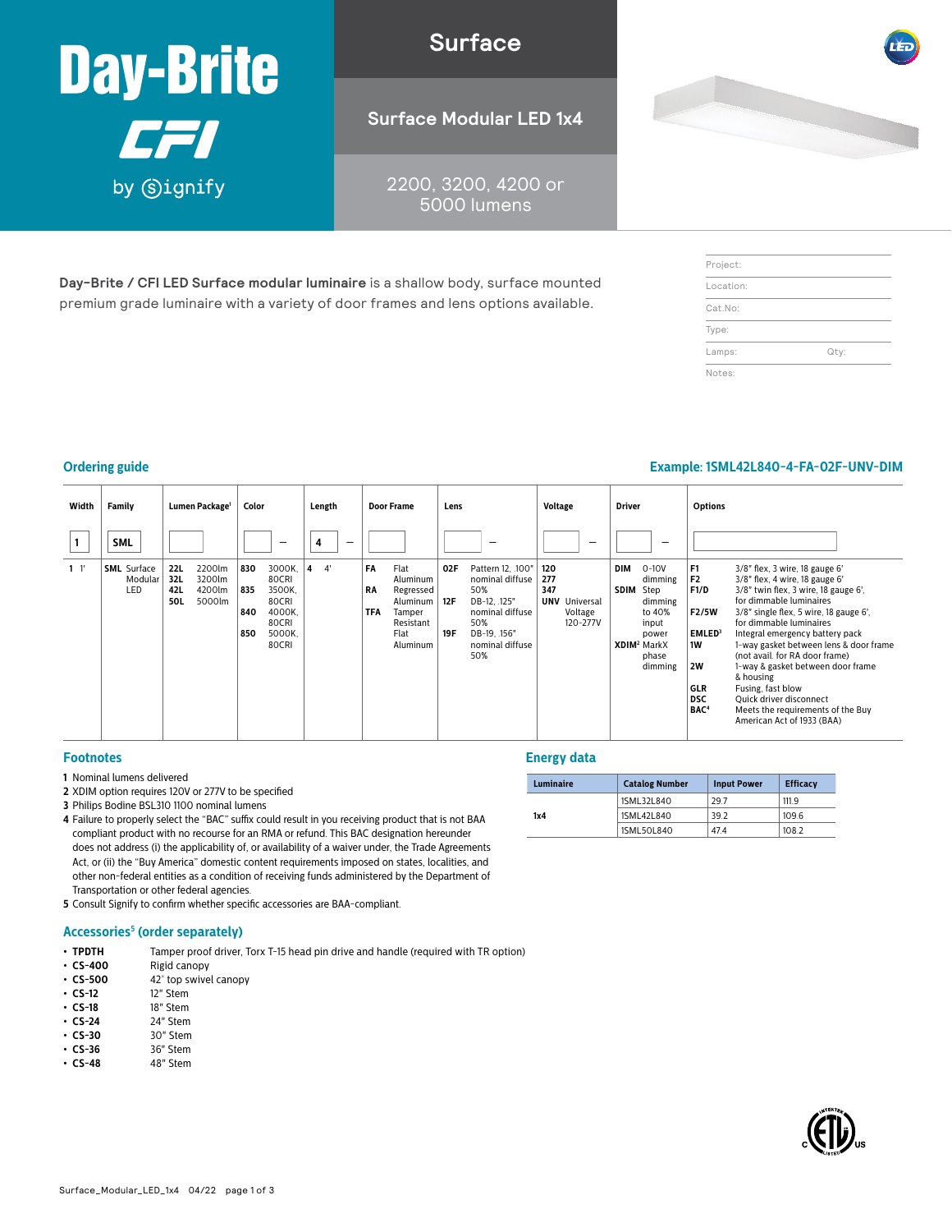

**Surface**

**Surface Modular LED 1x4**

2200, 3200, 4200 or 5000 lumens

**Day-Brite / CFI LED Surface modular luminaire** is a shallow body, surface mounted premium grade luminaire with a variety of door frames and lens options available.

| Project:  |      |
|-----------|------|
| Location: |      |
| Cat.No:   |      |
| Type:     |      |
| Lamps:    | Qty: |
| Notes:    |      |

## **Ordering guide Example: 1SML42L840-4-FA-02F-UNV-DIM**

#### **Width Family Lumen Package1 Color Length Door Frame Lens Voltage Driver Options <sup>1</sup> SML** – **<sup>4</sup>** –––– **1** 1' **SML** Surface Modular LED **22L** 2200lm **32L** 3200lm<br>**42L** 4200lm<br>**50L** 5000lm **42L** 4200lm **50L** 5000lm **830** 3000K, 80CRI **835** 3500K, 80CRI **840** 4000K, 80CRI **850** 5000K, 80CRI **4** 4' **FA** Flat Aluminum **RA** Regressed Aluminum **TFA** Tamper Resistant Flat Aluminum **02F** Pattern 12, .100" nominal diffuse 50% **12F** DB-12, .125" nominal diffuse 50% **19F** DB-19, .156" nominal diffuse 50% **120 277 347 UNV** Universal Voltage 120-277V **DIM** 0-10V dimming **SDIM** Step dimming to 40% input power **XDIM2** MarkX phase dimming **F1** 3/8" flex, 3 wire, 18 gauge 6'<br>**F2** 3/8" flex, 4 wire, 18 gauge 6' **F2** 3/8" flex, 4 wire, 18 gauge 6'<br>**F1/D** 3/8" twin flex, 3 wire, 18 gau **F1/D** 3/8" twin flex, 3 wire, 18 gauge 6', for dimmable luminaires **F2/5W** 3/8" single flex, 5 wire, 18 gauge 6', for dimmable luminaires **EMLED**<sup>3</sup> Integral emergency battery pack<br>**1W** 1-way gasket between lens & door 1-way gasket between lens & door frame (not avail. for RA door frame) **2W** 1-way & gasket between door frame & housing **GLR** Fusing, fast blow<br>**DSC** Quick driver disco **DSC** Quick driver disconnect<br> **BAC<sup>4</sup>** Meets the requirements **BAC4** Meets the requirements of the Buy American Act of 1933 (BAA)

#### **Footnotes**

- **1** Nominal lumens delivered
- **2** XDIM option requires 120V or 277V to be specified
- **3** Philips Bodine BSL310 1100 nominal lumens
- **4** Failure to properly select the "BAC" suffix could result in you receiving product that is not BAA compliant product with no recourse for an RMA or refund. This BAC designation hereunder does not address (i) the applicability of, or availability of a waiver under, the Trade Agreements Act, or (ii) the "Buy America" domestic content requirements imposed on states, localities, and other non-federal entities as a condition of receiving funds administered by the Department of Transportation or other federal agencies.
- **5** Consult Signify to confirm whether specific accessories are BAA-compliant.

#### **Accessories5 (order separately)**

- **TPDTH** Tamper proof driver, Torx T-15 head pin drive and handle (required with TR option) **· CS-400** Rigid canopy
- **CS-400** Rigid canopy<br>• **CS-500** 42° top swive
- **CS-500** 42° top swivel canopy<br>• **CS-12** 12″ Stem
- **• CS-12** 12" Stem
- **• CS-18** 18" Stem
- **CS-24** 24" Stem<br>• **CS-30** 30" Stem
- **CS-30** 30" Stem<br>• **CS-36** 36" Stem
- **CS-36** 36" Stem<br> **CS-48** 48" Stem **• CS-48** 48" Stem
- 

### **Energy data**

|  | <b>Luminaire</b> | <b>Catalog Number</b> | <b>Input Power</b> | <b>Efficacy</b> |  |  |  |  |
|--|------------------|-----------------------|--------------------|-----------------|--|--|--|--|
|  | 1x4              | 1SML32L840            | 29.7               | 111.9           |  |  |  |  |
|  |                  | 1SML42L840            | 39.2               | 109.6           |  |  |  |  |
|  |                  | 1SML50L840            | 47.4               | 108.2           |  |  |  |  |

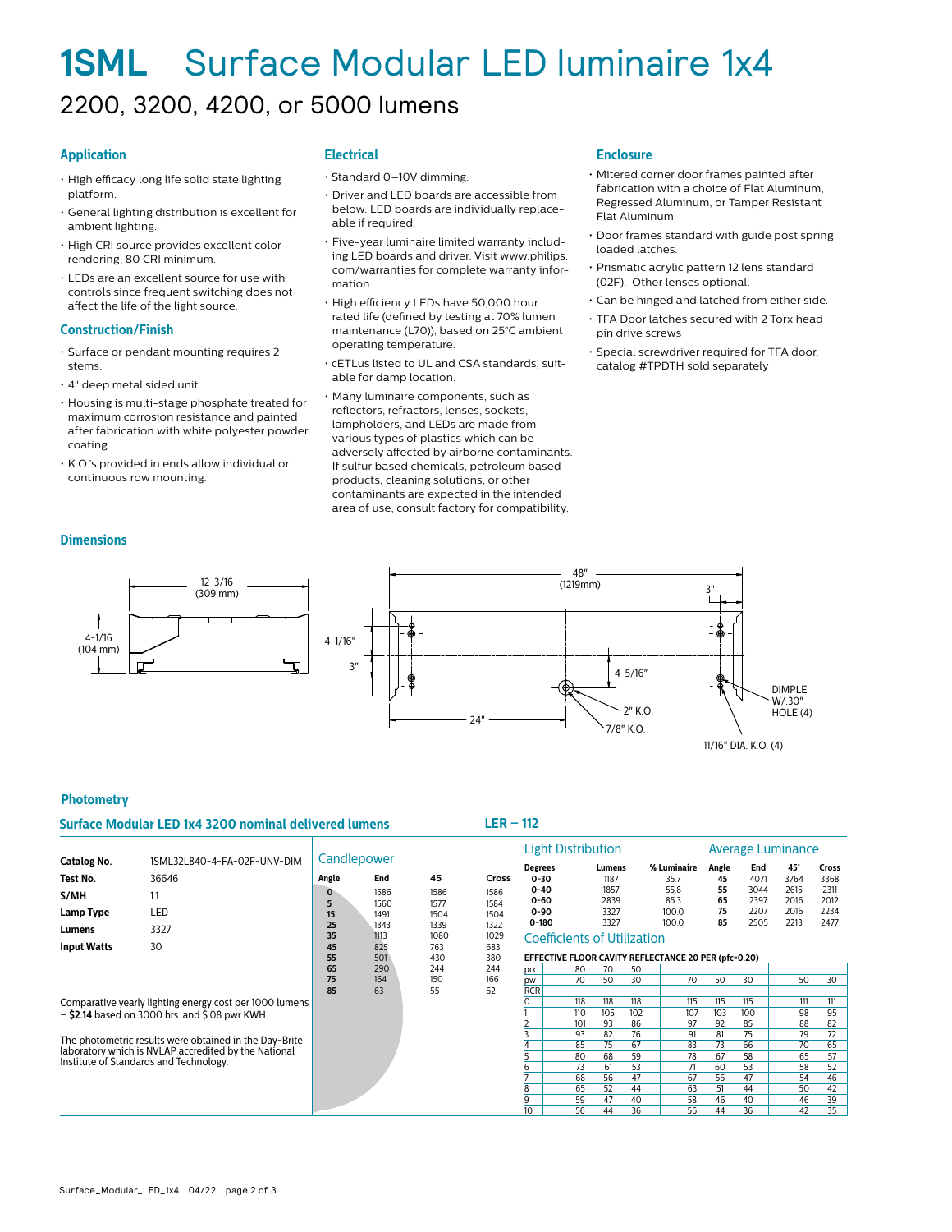# **1SML** Surface Modular LED luminaire 1x4 2200, 3200, 4200, or 5000 lumens

#### **Application**

- High efficacy long life solid state lighting platform.
- General lighting distribution is excellent for ambient lighting.
- High CRI source provides excellent color rendering, 80 CRI minimum.
- LEDs are an excellent source for use with controls since frequent switching does not affect the life of the light source.

#### **Construction/Finish**

- Surface or pendant mounting requires 2 stems.
- 4" deep metal sided unit.
- Housing is multi-stage phosphate treated for maximum corrosion resistance and painted after fabrication with white polyester powder coating.
- K.O.'s provided in ends allow individual or continuous row mounting.

#### **Electrical**

- Standard 0–10V dimming.
- Driver and LED boards are accessible from below. LED boards are individually replaceable if required.
- Five-year luminaire limited warranty including LED boards and driver. Visit www.philips. com/warranties for complete warranty information.
- High efficiency LEDs have 50,000 hour rated life (defined by testing at 70% lumen maintenance (L70)), based on 25°C ambient operating temperature.
- cETLus listed to UL and CSA standards, suitable for damp location.
- Many luminaire components, such as reflectors, refractors, lenses, sockets, lampholders, and LEDs are made from various types of plastics which can be adversely affected by airborne contaminants. If sulfur based chemicals, petroleum based products, cleaning solutions, or other contaminants are expected in the intended area of use, consult factory for compatibility.

#### **Enclosure**

- Mitered corner door frames painted after fabrication with a choice of Flat Aluminum, Regressed Aluminum, or Tamper Resistant Flat Aluminum.
- Door frames standard with guide post spring loaded latches.
- Prismatic acrylic pattern 12 lens standard (02F). Other lenses optional.
- Can be hinged and latched from either side.
- TFA Door latches secured with 2 Torx head pin drive screws
- Special screwdriver required for TFA door, catalog #TPDTH sold separately



#### **Photometry**

**Dimensions**

 4-1/16  $(104 \, \text{mm})$ 

 $\ddot{\phantom{1}}$ 

#### **Surface Modular LED 1x4 3200 nominal delivered lumens LER – 112**

|                    |                                                         | Candlepower |              |              |              |                         | <b>Light Distribution</b>                                                                  |              |     |              |          | Average Luminance |              |                       |  |  |
|--------------------|---------------------------------------------------------|-------------|--------------|--------------|--------------|-------------------------|--------------------------------------------------------------------------------------------|--------------|-----|--------------|----------|-------------------|--------------|-----------------------|--|--|
| <b>Catalog No.</b> | 1SML32L840-4-FA-02F-UNV-DIM                             |             |              |              |              | <b>Degrees</b>          |                                                                                            | Lumens       |     | % Luminaire  | Angle    | End               | 45°          | <b>Cross</b>          |  |  |
| Test No.           | 36646                                                   | Angle       | End          | 45           | Cross        | $0 - 30$                |                                                                                            | 1187         |     | 35.7         | 45       | 4071              | 3764         | 3368                  |  |  |
| S/MH               | 1.1                                                     |             | 1586         | 1586         | 1586         | $0 - 40$<br>$0 - 60$    |                                                                                            | 1857<br>2839 |     | 55.8<br>85.3 | 55<br>65 | 3044<br>2397      | 2615<br>2016 | 2311<br>2012          |  |  |
| Lamp Type          | LED                                                     | 15          | 1560<br>1491 | 1577<br>1504 | 1584<br>1504 | $0 - 90$                |                                                                                            | 3327         |     | 100.0        | 75       | 2207              | 2016         | 2234                  |  |  |
| Lumens             | 3327                                                    | 25<br>35    | 1343<br>1113 | 1339<br>1080 | 1322<br>1029 | $0 - 180$               |                                                                                            | 3327         |     | 100.0        | 85       | 2505              | 2213         | 2477                  |  |  |
| <b>Input Watts</b> | 30<br>45<br>825<br>683<br>763                           |             |              |              |              |                         | <b>Coefficients of Utilization</b><br>EFFECTIVE FLOOR CAVITY REFLECTANCE 20 PER (pfc=0.20) |              |     |              |          |                   |              |                       |  |  |
|                    |                                                         | 55<br>65    | 501<br>290   | 430<br>244   | 380<br>244   |                         | 80                                                                                         | 70           | 50  |              |          |                   |              |                       |  |  |
|                    |                                                         | 75          | 164          | 150          | 166          | pcc<br><b>DW</b>        | 70                                                                                         | 50           | 30  | 70           | 50       | 30                | 50           | 30                    |  |  |
|                    |                                                         | 85          | 63           | 55           | 62           | <b>RCR</b>              |                                                                                            |              |     |              |          |                   |              |                       |  |  |
|                    | Comparative yearly lighting energy cost per 1000 lumens |             |              |              |              | $\Omega$                | 118                                                                                        | 118          | 118 | 115          | 115      | 115               | 111          | 111                   |  |  |
|                    | $-$ \$2.14 based on 3000 hrs. and \$.08 pwr KWH.        |             |              |              |              |                         | 110                                                                                        | 105          | 102 | 107          | 103      | 100               | 98           | 95                    |  |  |
|                    |                                                         |             |              |              |              |                         | 101                                                                                        | 93           | 86  | 97           | 92       | 85                | 88           | 82                    |  |  |
|                    | The photometric results were obtained in the Day-Brite  |             |              |              |              | $\overline{\mathbf{z}}$ | 93                                                                                         | 82           | 76  | 91           | 81       | 75                | 79           | 72                    |  |  |
|                    | laboratory which is NVLAP accredited by the National    |             |              |              |              |                         | 85                                                                                         | 75           | 67  | 83           | 73       | 66                | 70           | 65                    |  |  |
|                    | Institute of Standards and Technology.                  |             |              |              |              |                         | 80                                                                                         | 68           | 59  | 78           | 67       | 58                | 65           | $\overline{57}$       |  |  |
|                    |                                                         |             |              |              |              | 6                       | 73                                                                                         | 61           | 53  | 71           | 60       | 53                | 58           | 52                    |  |  |
|                    |                                                         |             |              |              |              |                         | 68                                                                                         | 56           | 47  | 67           | 56       | 47                | 54           | 46                    |  |  |
|                    |                                                         |             |              |              |              | 8                       | 65                                                                                         | 52           | 44  | 63           | 51       | 44                | 50           | 42                    |  |  |
|                    |                                                         |             |              |              |              | 9                       | 59                                                                                         | 47           | 40  | 58           | 46       | 40                | 46           | 39<br>$\overline{35}$ |  |  |
|                    |                                                         |             |              |              |              | 10 <sup>2</sup>         | 56                                                                                         | 44           | 36  | 56           | 44       | 36                | 42           |                       |  |  |